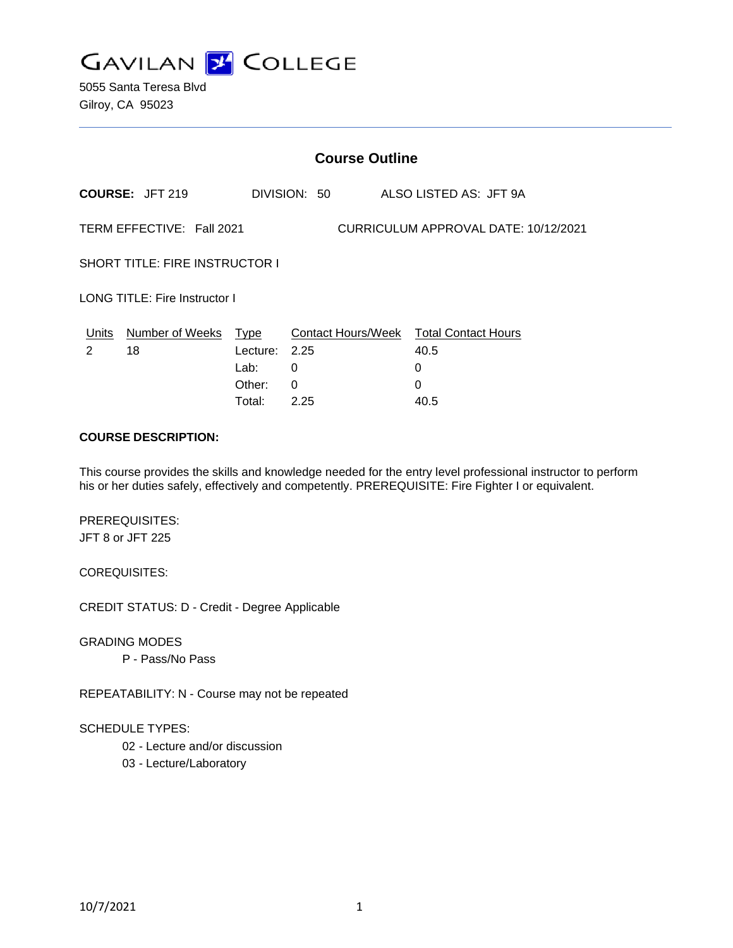

| <b>Course Outline</b>                                             |                        |          |              |                                        |
|-------------------------------------------------------------------|------------------------|----------|--------------|----------------------------------------|
|                                                                   | <b>COURSE: JFT 219</b> |          | DIVISION: 50 | ALSO LISTED AS: JFT 9A                 |
| TERM EFFECTIVE: Fall 2021<br>CURRICULUM APPROVAL DATE: 10/12/2021 |                        |          |              |                                        |
| <b>SHORT TITLE: FIRE INSTRUCTOR I</b>                             |                        |          |              |                                        |
| LONG TITLE: Fire Instructor I                                     |                        |          |              |                                        |
| Units                                                             | Number of Weeks        | Type     |              | Contact Hours/Week Total Contact Hours |
| 2                                                                 | 18                     | Lecture: | 2.25         | 40.5                                   |
|                                                                   |                        | Lab:     | 0            | 0                                      |
|                                                                   |                        | Other:   | 0            | 0                                      |
|                                                                   |                        | Total:   | 2.25         | 40.5                                   |

### **COURSE DESCRIPTION:**

This course provides the skills and knowledge needed for the entry level professional instructor to perform his or her duties safely, effectively and competently. PREREQUISITE: Fire Fighter I or equivalent.

#### PREREQUISITES:

JFT 8 or JFT 225

#### COREQUISITES:

CREDIT STATUS: D - Credit - Degree Applicable

GRADING MODES

P - Pass/No Pass

REPEATABILITY: N - Course may not be repeated

#### SCHEDULE TYPES:

- 02 Lecture and/or discussion
- 03 Lecture/Laboratory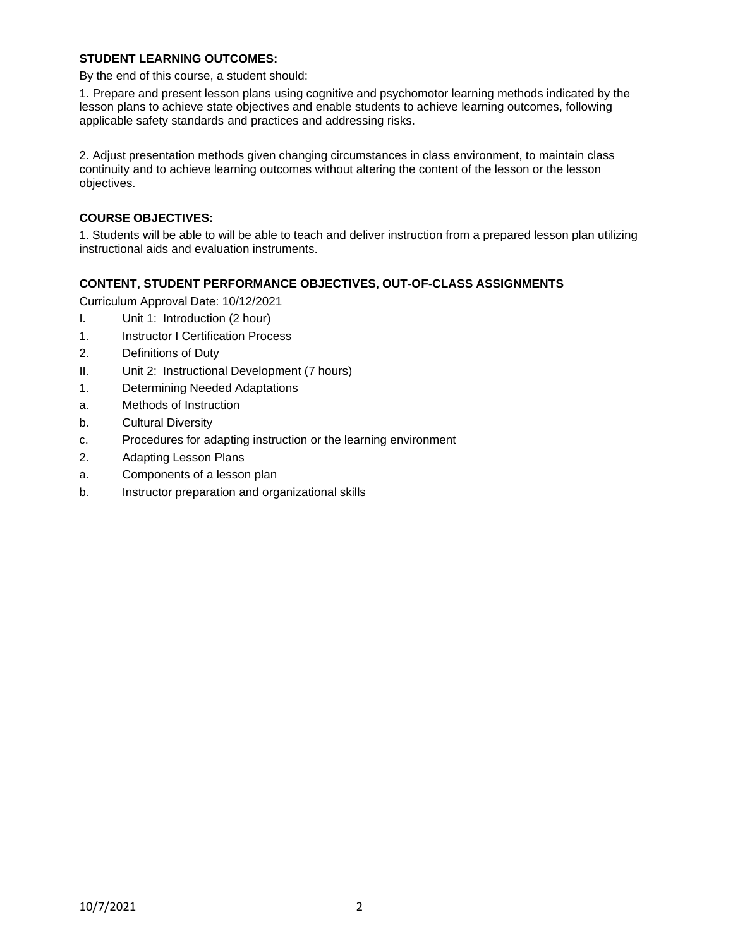### **STUDENT LEARNING OUTCOMES:**

By the end of this course, a student should:

1. Prepare and present lesson plans using cognitive and psychomotor learning methods indicated by the lesson plans to achieve state objectives and enable students to achieve learning outcomes, following applicable safety standards and practices and addressing risks.

2. Adjust presentation methods given changing circumstances in class environment, to maintain class continuity and to achieve learning outcomes without altering the content of the lesson or the lesson objectives.

# **COURSE OBJECTIVES:**

1. Students will be able to will be able to teach and deliver instruction from a prepared lesson plan utilizing instructional aids and evaluation instruments.

### **CONTENT, STUDENT PERFORMANCE OBJECTIVES, OUT-OF-CLASS ASSIGNMENTS**

Curriculum Approval Date: 10/12/2021

- I. Unit 1: Introduction (2 hour)
- 1. Instructor I Certification Process
- 2. Definitions of Duty
- II. Unit 2: Instructional Development (7 hours)
- 1. Determining Needed Adaptations
- a. Methods of Instruction
- b. Cultural Diversity
- c. Procedures for adapting instruction or the learning environment
- 2. Adapting Lesson Plans
- a. Components of a lesson plan
- b. Instructor preparation and organizational skills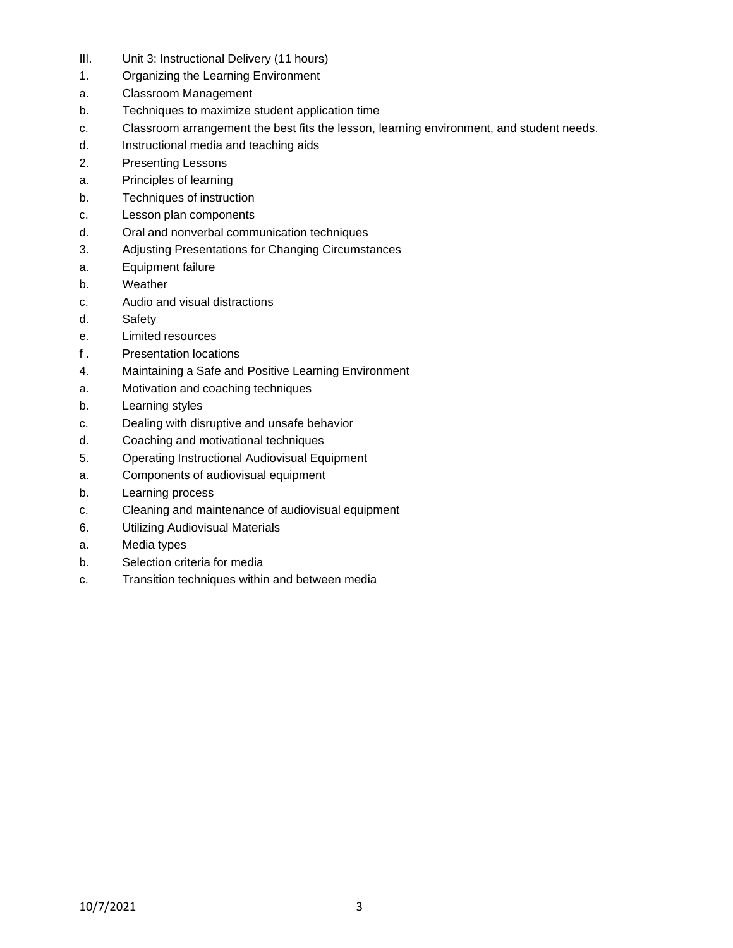- III. Unit 3: Instructional Delivery (11 hours)
- 1. Organizing the Learning Environment
- a. Classroom Management
- b. Techniques to maximize student application time
- c. Classroom arrangement the best fits the lesson, learning environment, and student needs.
- d. Instructional media and teaching aids
- 2. Presenting Lessons
- a. Principles of learning
- b. Techniques of instruction
- c. Lesson plan components
- d. Oral and nonverbal communication techniques
- 3. Adjusting Presentations for Changing Circumstances
- a. Equipment failure
- b. Weather
- c. Audio and visual distractions
- d. Safety
- e. Limited resources
- f . Presentation locations
- 4. Maintaining a Safe and Positive Learning Environment
- a. Motivation and coaching techniques
- b. Learning styles
- c. Dealing with disruptive and unsafe behavior
- d. Coaching and motivational techniques
- 5. Operating Instructional Audiovisual Equipment
- a. Components of audiovisual equipment
- b. Learning process
- c. Cleaning and maintenance of audiovisual equipment
- 6. Utilizing Audiovisual Materials
- a. Media types
- b. Selection criteria for media
- c. Transition techniques within and between media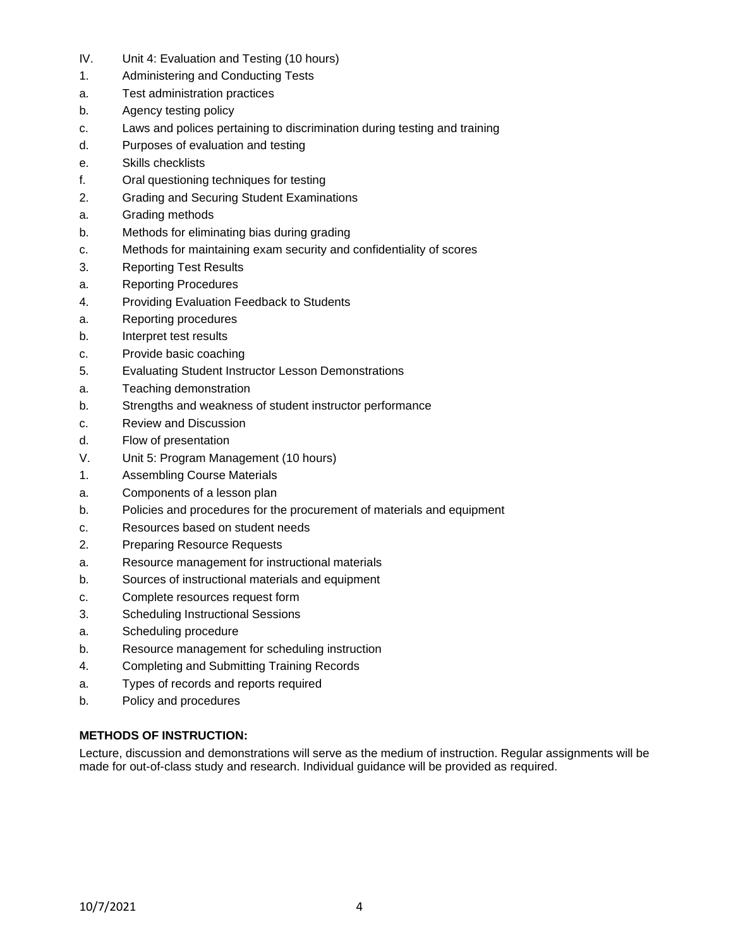- IV. Unit 4: Evaluation and Testing (10 hours)
- 1. Administering and Conducting Tests
- a. Test administration practices
- b. Agency testing policy
- c. Laws and polices pertaining to discrimination during testing and training
- d. Purposes of evaluation and testing
- e. Skills checklists
- f. Oral questioning techniques for testing
- 2. Grading and Securing Student Examinations
- a. Grading methods
- b. Methods for eliminating bias during grading
- c. Methods for maintaining exam security and confidentiality of scores
- 3. Reporting Test Results
- a. Reporting Procedures
- 4. Providing Evaluation Feedback to Students
- a. Reporting procedures
- b. Interpret test results
- c. Provide basic coaching
- 5. Evaluating Student Instructor Lesson Demonstrations
- a. Teaching demonstration
- b. Strengths and weakness of student instructor performance
- c. Review and Discussion
- d. Flow of presentation
- V. Unit 5: Program Management (10 hours)
- 1. Assembling Course Materials
- a. Components of a lesson plan
- b. Policies and procedures for the procurement of materials and equipment
- c. Resources based on student needs
- 2. Preparing Resource Requests
- a. Resource management for instructional materials
- b. Sources of instructional materials and equipment
- c. Complete resources request form
- 3. Scheduling Instructional Sessions
- a. Scheduling procedure
- b. Resource management for scheduling instruction
- 4. Completing and Submitting Training Records
- a. Types of records and reports required
- b. Policy and procedures

### **METHODS OF INSTRUCTION:**

Lecture, discussion and demonstrations will serve as the medium of instruction. Regular assignments will be made for out-of-class study and research. Individual guidance will be provided as required.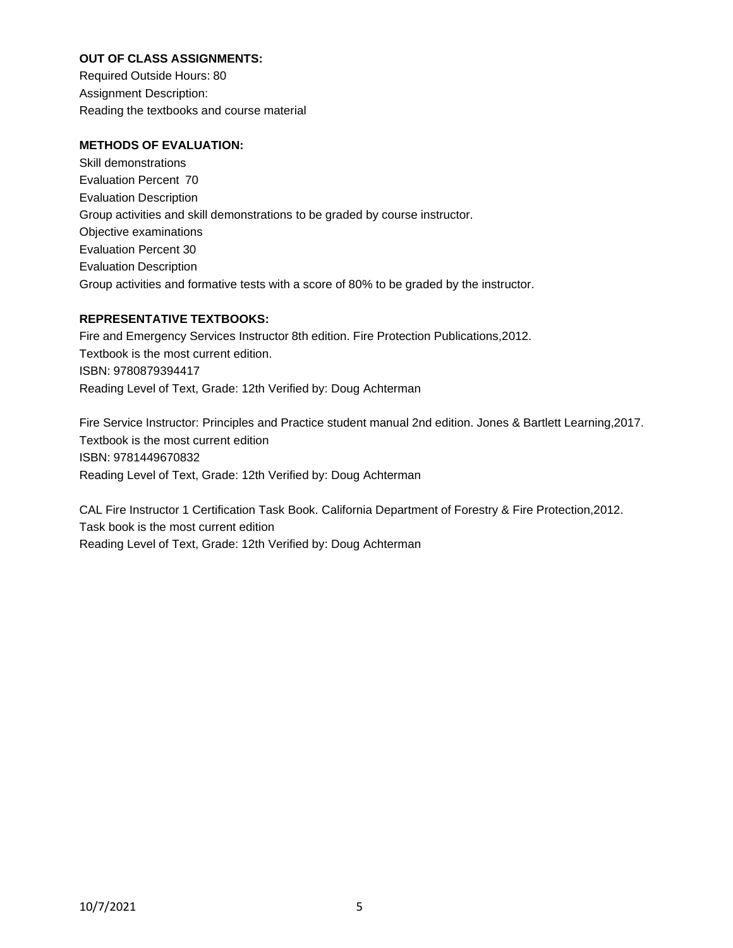# **OUT OF CLASS ASSIGNMENTS:**

Required Outside Hours: 80 Assignment Description: Reading the textbooks and course material

# **METHODS OF EVALUATION:**

Skill demonstrations Evaluation Percent 70 Evaluation Description Group activities and skill demonstrations to be graded by course instructor. Objective examinations Evaluation Percent 30 Evaluation Description Group activities and formative tests with a score of 80% to be graded by the instructor.

# **REPRESENTATIVE TEXTBOOKS:**

Fire and Emergency Services Instructor 8th edition. Fire Protection Publications,2012. Textbook is the most current edition. ISBN: 9780879394417 Reading Level of Text, Grade: 12th Verified by: Doug Achterman

Fire Service Instructor: Principles and Practice student manual 2nd edition. Jones & Bartlett Learning,2017. Textbook is the most current edition ISBN: 9781449670832 Reading Level of Text, Grade: 12th Verified by: Doug Achterman

CAL Fire Instructor 1 Certification Task Book. California Department of Forestry & Fire Protection,2012. Task book is the most current edition Reading Level of Text, Grade: 12th Verified by: Doug Achterman